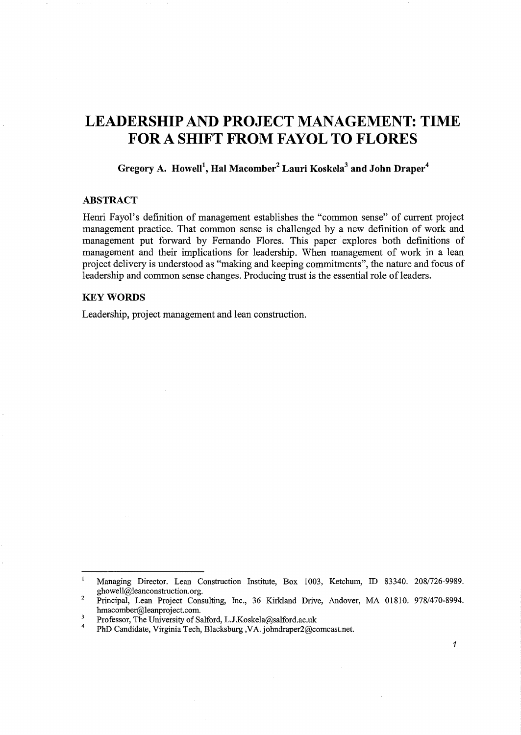# **LEADERSHIP AND PROJECT MANAGEMENT: TIME FORA SHIFT FROM FAYOL TO FLORES**

**Gregory A. Howell<sup>1</sup> , Hal Macomber2 Lauri Koskela3 and John Draper4** 

# **ABSTRACT**

Henri Fayol's definition of management establishes the "common sense" of current project management practice. That common sense is challenged by a new definition of work and management put forward by Fernando Flores. This paper explores both definitions of management and their implications for leadership. When management of work in a lean project delivery is understood as "making and keeping commitments", the nature and focus of leadership and common sense changes. Producing trust is the essential role of leaders.

# **KEYWORDS**

Leadership, project management and lean construction.

 $\mathbf{I}$ Managing Director. Lean Construction Institute, Box 1003, Ketchum, ID 83340. 208/726-9989. ghowell@leanconstruction.org.

<sup>2</sup>  Principal, Lean Project Consulting, Inc., 36 Kirkland Drive, Andover, MA 01810. 978/470-8994. hmacomber@leanproject.com.

 $\overline{\mathbf{3}}$ Professor, The University of Salford, L.J.Koskela@salford.ac.uk

<sup>4</sup>  PhD Candidate, Virginia Tech, Blacksburg ,VA. johndraper2@comcast.net.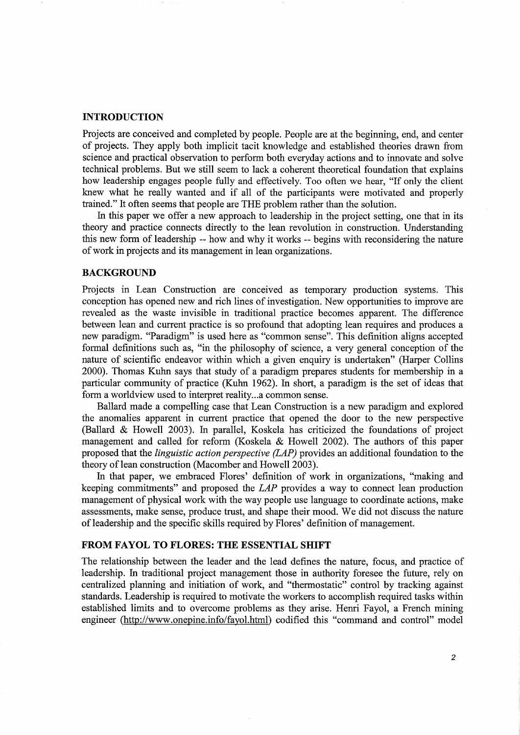#### **INTRODUCTION**

Projects are conceived and completed by people. People are at the beginning, end, and center of projects. They apply both implicit tacit knowledge and established theories drawn from science and practical observation to perform both everyday actions and to innovate and solve technical problems. But we still seem to lack a coherent theoretical foundation that explains how leadership engages people fully and effectively. Too often we hear, "If only the client knew what he really wanted and if all of the participants were motivated and properly trained." It often seems that people are THE problem rather than the solution.

In this paper we offer a new approach to leadership in the project setting, one that in its theory and practice connects directly to the lean revolution in construction. Understanding this new form of leadership -- how and why it works -- begins with reconsidering the nature of work in projects and its management in lean organizations.

# **BACKGROUND**

Projects in Lean Construction are conceived as temporary production systems. This conception has opened new and rich lines of investigation. New opportunities to improve are revealed as the waste invisible in traditional practice becomes apparent. The difference between lean and current practice is so profound that adopting lean requires and produces a new paradigm. "Paradigm" is used here as "common sense". This definition aligns accepted formal definitions such as, "in the philosophy of science, a very general conception of the nature of scientific endeavor within which a given enquiry is undertaken" (Harper Collins 2000). Thomas Kuhn says that study of a paradigm prepares students for membership in a particular community of practice (Kuhn 1962). In short, a paradigm is the set of ideas that form a worldview used to interpret reality...a common sense.

Ballard made a compelling case that Lean Construction is a new paradigm and explored the anomalies apparent in current practice that opened the door to the new perspective (Ballard & Howell 2003). In parallel, Koskela has criticized the foundations of project management and called for reform (Koskela & Howell 2002). The authors of this paper proposed that the *linguistic action perspective (LAP)* provides an additional foundation to the theory of lean construction (Macomber and Howell 2003).

In that paper, we embraced Flores' definition of work in organizations, "making and keeping commitments" and proposed the *LAP* provides a way to connect lean production management of physical work with the way people use language to coordinate actions, make assessments, make sense, produce trust, and shape their mood. We did not discuss the nature of leadership and the specific skills required by Flores' definition of management.

# **FROM FAYOL TO FLORES: THE ESSENTIAL SHIFT**

The relationship between the leader and the lead defines the nature, focus, and practice of leadership. In traditional project management those in authority foresee the future, rely on centralized planning and initiation of work, and "thermostatic" control by tracking against standards. Leadership is required to motivate the workers to accomplish required tasks within established limits and to overcome problems as they arise. Henri Fayol, a French mining engineer (http://www.onepine.info/fayol.html) codified this "command and control" model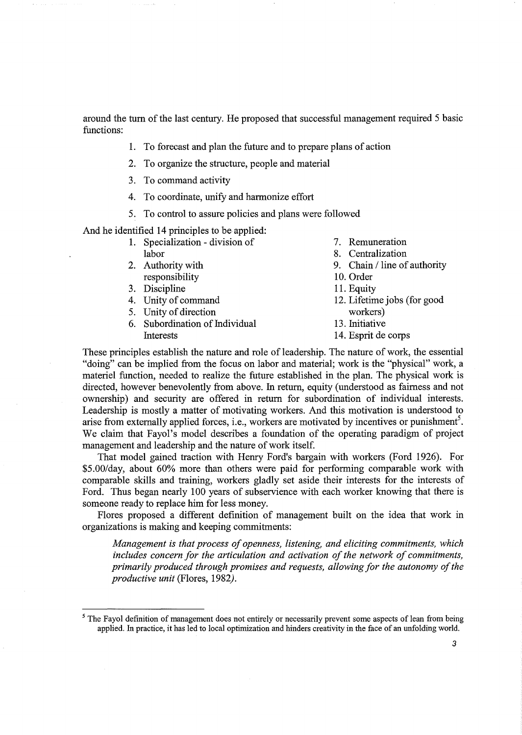around the turn of the last century. He proposed that successful management required 5 basic functions:

- 1. To forecast and plan the future and to prepare plans of action
- 2. To organize the structure, people and material
- 3. To command activity
- 4. To coordinate, unify and harmonize effort
- 5. To control to assure policies and plans were followed

And he identified 14 principles to be applied:

| 1. Specialization - division of | 7. Remuneration              |
|---------------------------------|------------------------------|
| labor                           | 8. Centralization            |
| 2. Authority with               | 9. Chain / line of authority |
| responsibility                  | 10. Order                    |
| 3. Discipline                   | 11. Equity                   |
| 4. Unity of command             | 12. Lifetime jobs (for good  |
| 5. Unity of direction           | workers)                     |
| 6. Subordination of Individual  | 13. Initiative               |
| Interests                       | 14. Esprit de corps          |

These principles establish the nature and role of leadership. The nature of work, the essential "doing" can be implied from the focus on labor and material; work is the "physical" work, a materiel function, needed to realize the future established in the plan. The physical work is directed, however benevolently from above. In return, equity (understood as fairness and not ownership) and security are offered in return for subordination of individual interests. Leadership is mostly a matter of motivating workers. And this motivation is understood to arise from externally applied forces, i.e., workers are motivated by incentives or punishment<sup>5</sup>. We claim that Fayol's model describes a foundation of the operating paradigm of project management and leadership and the nature of work itself.

That model gained traction with Henry Ford's bargain with workers (Ford 1926). For \$5.00/day, about 60% more than others were paid for performing comparable work with comparable skills and training, workers gladly set aside their interests for the interests of Ford. Thus began nearly 100 years of subservience with each worker knowing that there is someone ready to replace him for less money.

Flores proposed a different definition of management built on the idea that work in organizations is making and keeping commitments:

*Management is that process of openness, listening, and eliciting commitments, which includes concern for the articulation and activation of the network of commitments, primarily produced through promises and requests, allowing for the autonomy of the productive unit* (Flores, 1982).

<sup>&</sup>lt;sup>5</sup> The Fayol definition of management does not entirely or necessarily prevent some aspects of lean from being applied. In practice, it has led to local optimization and hinders creativity in the face of an unfolding world.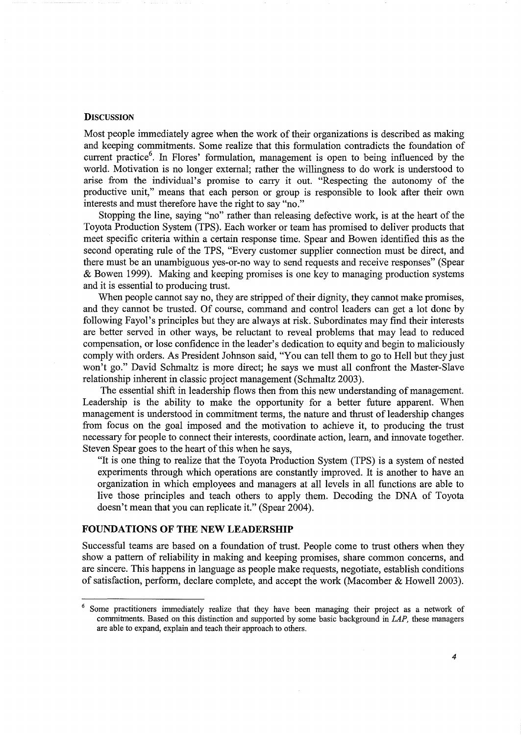# **DISCUSSION**

Most people immediately agree when the work of their organizations is described as making and keeping commitments. Some realize that this formulation contradicts the foundation of current practice<sup>6</sup>. In Flores' formulation, management is open to being influenced by the world. Motivation is no longer external; rather the willingness to do work is understood to arise from the individual's promise to carry it out. "Respecting the autonomy of the productive unit," means that each person or group is responsible to look after their own interests and must therefore have the right to say "no."

Stopping the line, saying "no" rather than releasing defective work, is at the heart of the Toyota Production System (TPS). Each worker or team has promised to deliver products that meet specific criteria within a certain response time. Spear and Bowen identified this as the second operating rule of the TPS, "Every customer supplier connection must be direct, and there must be an unambiguous yes-or-no way to send requests and receive responses" (Spear & Bowen 1999). Making and keeping promises is one key to managing production systems and it is essential to producing trust.

When people cannot say no, they are stripped of their dignity, they cannot make promises, and they cannot be trusted. Of course, command and control leaders can get a lot done by following Fayol's principles but they are always at risk. Subordinates may find their interests are better served in other ways, be reluctant to reveal problems that may lead to reduced compensation, or lose confidence in the leader's dedication to equity and begin to maliciously comply with orders. As President Johnson said, "You can tell them to go to Hell but they just won't go." David Schmaltz is more direct; he says we must all confront the Master-Slave relationship inherent in classic project management (Schmaltz 2003).

The essential shift in leadership flows then from this new understanding of management. Leadership is the ability to make the opportunity for a better future apparent. When management is understood in commitment terms, the nature and thrust of leadership changes from focus on the goal imposed and the motivation to achieve it, to producing the trust necessary for people to connect their interests, coordinate action, learn, and innovate together. Steven Spear goes to the heart of this when he says,

"It is one thing to realize that the Toyota Production System (TPS) is a system of nested experiments through which operations are constantly improved. It is another to have an organization in which employees and managers at all levels in all functions are able to live those principles and teach others to apply them. Decoding the DNA of Toyota doesn't mean that you can replicate it." (Spear 2004).

# **FOUNDATIONS OF THE NEW LEADERSHIP**

Successful teams are based on a foundation of trust. People come to trust others when they show a pattern of reliability in making and keeping promises, share common concerns, and are sincere. This happens in language as people make requests, negotiate, establish conditions of satisfaction, perform, declare complete, and accept the work (Macomber & Howell 2003).

<sup>&</sup>lt;sup>6</sup> Some practitioners immediately realize that they have been managing their project as a network of commitments. Based on this distinction and supported by some basic background in LAP, these managers are able to expand, explain and teach their approach to others.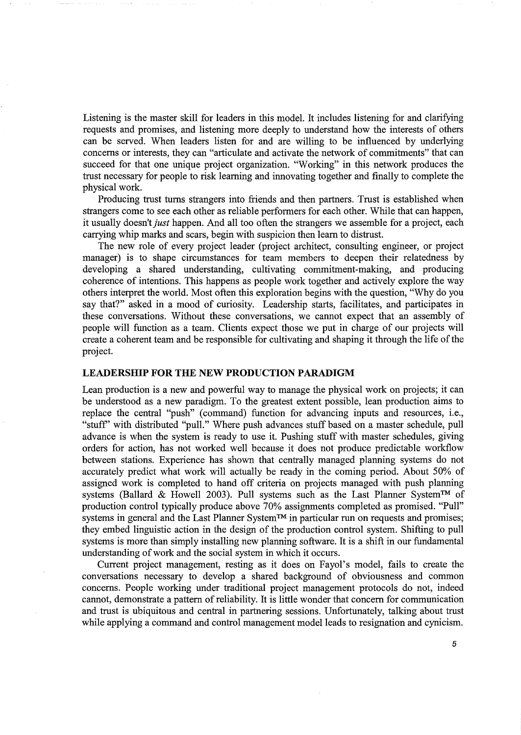Listening is the master skill for leaders in this model. It includes listening for and clarifying requests and promises, and listening more deeply to understand how the interests of others can be served. When leaders listen for and are willing to be influenced by underlying concerns or interests, they can "articulate and activate the network of commitments" that can succeed for that one unique project organization. "Working" in this network produces the trust necessary for people to risk learning and innovating together and finally to complete the physical work.

Producing trust turns strangers into friends and then partners. Trust is established when strangers come to see each other as reliable performers for each other. While that can happen, it usually doesn't *just* happen. And all too often the strangers we assemble for a project, each carrying whip marks and scars, begin with suspicion then learn to distrust.

The new role of every project leader (project architect, consulting engineer, or project manager) is to shape circumstances for team members to deepen their relatedness by developing a shared understanding, cultivating commitment-making, and producing coherence of intentions. This happens as people work together and actively explore the way others interpret the world. Most often this exploration begins with the question, "Why do you say that?" asked in a mood of curiosity. Leadership starts, facilitates, and participates in these conversations. Without these conversations, we cannot expect that an assembly of people will function as a team. Clients expect those we put in charge of our projects will create a coherent team and be responsible for cultivating and shaping it through the life of the project.

#### **LEADERSHIP FOR THE NEW PRODUCTION PARADIGM**

Lean production is a new and powerful way to manage the physical work on projects; it can be understood as a new paradigm. To the greatest extent possible, lean production aims to replace the central "push" (command) function for advancing inputs and resources, i.e., "stuff' with distributed "pull." Where push advances stuff based on a master schedule, pull advance is when the system is ready to use it. Pushing stuff with master schedules, giving orders for action, has not worked well because it does not produce predictable workflow between stations. Experience has shown that centrally managed planning systems do not accurately predict what work will actually be ready in the coming period. About 50% of assigned work is completed to hand off criteria on projects managed with push planning systems (Ballard & Howell 2003). Pull systems such as the Last Planner System<sup>TM</sup> of production control typically produce above 70% assignments completed as promised. "Pull" systems in general and the Last Planner System<sup>TM</sup> in particular run on requests and promises; they embed linguistic action in the design of the production control system. Shifting to pull systems is more than simply installing new planning software. It is a shift in our fundamental understanding of work and the social system in which it occurs.

Current project management, resting as it does on Fayol's model, fails to create the conversations necessary to develop a shared background of obviousness and common concerns. People working under traditional project management protocols do not, indeed cannot, demonstrate a pattern of reliability. It is little wonder that concern for communication and trust is ubiquitous and central in partnering sessions. Unfortunately, talking about trust while applying a command and control management model leads to resignation and cynicism.

*5*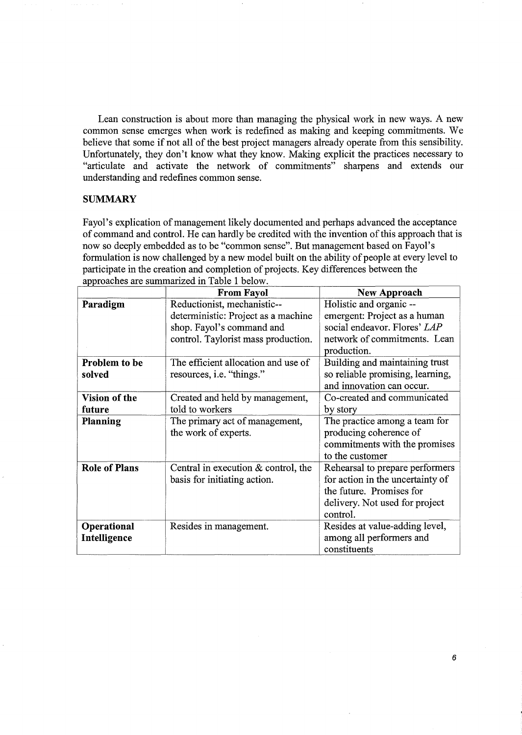Lean construction is about more than managing the physical work in new ways. A new common sense emerges when work is redefined as making and keeping commitments. We believe that some if not all of the best project managers already operate from this sensibility. Unfortunately, they don't know what they know. Making explicit the practices necessary to "articulate and activate the network of commitments" sharpens and extends our understanding and redefines common sense.

# **SUMMARY**

Fayol's explication of management likely documented and perhaps advanced the acceptance of command and control. He can hardly be credited with the invention of this approach that is now so deeply embedded as to be "common sense". But management based on Fayol's formulation is now challenged by a new model built on the ability of people at every level to participate in the creation and completion of projects. Key differences between the approaches are summarized in Table 1 below.

|                      | <b>From Fayol</b>                   | <b>New Approach</b>              |
|----------------------|-------------------------------------|----------------------------------|
| Paradigm             | Reductionist, mechanistic--         | Holistic and organic --          |
|                      | deterministic: Project as a machine | emergent: Project as a human     |
|                      | shop. Fayol's command and           | social endeavor. Flores' LAP     |
|                      | control. Taylorist mass production. | network of commitments. Lean     |
|                      |                                     | production.                      |
| Problem to be        | The efficient allocation and use of | Building and maintaining trust   |
| solved               | resources, i.e. "things."           | so reliable promising, learning, |
|                      |                                     | and innovation can occur.        |
| Vision of the        | Created and held by management,     | Co-created and communicated      |
| future               | told to workers                     | by story                         |
| <b>Planning</b>      | The primary act of management,      | The practice among a team for    |
|                      | the work of experts.                | producing coherence of           |
|                      |                                     | commitments with the promises    |
|                      |                                     | to the customer                  |
| <b>Role of Plans</b> | Central in execution & control, the | Rehearsal to prepare performers  |
|                      | basis for initiating action.        | for action in the uncertainty of |
|                      |                                     | the future. Promises for         |
|                      |                                     | delivery. Not used for project   |
|                      |                                     | control.                         |
| Operational          | Resides in management.              | Resides at value-adding level,   |
| Intelligence         |                                     | among all performers and         |
|                      |                                     | constituents                     |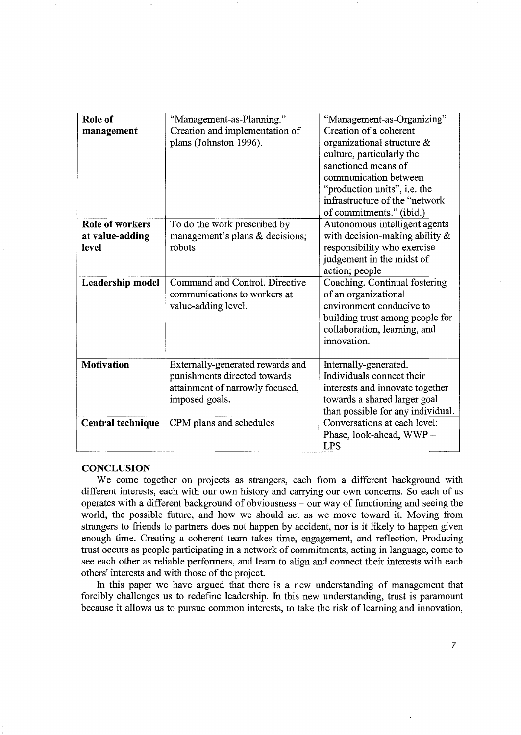| Role of<br>management                              | "Management-as-Planning."<br>Creation and implementation of<br>plans (Johnston 1996).                                 | "Management-as-Organizing"<br>Creation of a coherent<br>organizational structure $\&$<br>culture, particularly the<br>sanctioned means of<br>communication between<br>"production units", i.e. the<br>infrastructure of the "network<br>of commitments." (ibid.) |
|----------------------------------------------------|-----------------------------------------------------------------------------------------------------------------------|------------------------------------------------------------------------------------------------------------------------------------------------------------------------------------------------------------------------------------------------------------------|
| <b>Role of workers</b><br>at value-adding<br>level | To do the work prescribed by<br>management's plans & decisions;<br>robots                                             | Autonomous intelligent agents<br>with decision-making ability $\&$<br>responsibility who exercise<br>judgement in the midst of<br>action; people                                                                                                                 |
| Leadership model                                   | Command and Control. Directive<br>communications to workers at<br>value-adding level.                                 | Coaching. Continual fostering<br>of an organizational<br>environment conducive to<br>building trust among people for<br>collaboration, learning, and<br>innovation.                                                                                              |
| <b>Motivation</b>                                  | Externally-generated rewards and<br>punishments directed towards<br>attainment of narrowly focused,<br>imposed goals. | Internally-generated.<br>Individuals connect their<br>interests and innovate together<br>towards a shared larger goal<br>than possible for any individual.                                                                                                       |
| Central technique                                  | CPM plans and schedules                                                                                               | Conversations at each level:<br>Phase, look-ahead, WWP-<br><b>LPS</b>                                                                                                                                                                                            |

#### **CONCLUSION**

We come together on projects as strangers, each from a different background with different interests, each with our own history and carrying our own concerns. So each of us operates with a different background of obviousness - our way of functioning and seeing the world, the possible future, and how we should act as we move toward it. Moving from strangers to friends to partners does not happen by accident, nor is it likely to happen given enough time. Creating a coherent team takes time, engagement, and reflection. Producing trust occurs as people participating in a network of commitments, acting in language, come to see each other as reliable performers, and learn to align and connect their interests with each others' interests and with those of the project.

In this paper we have argued that there is a new understanding of management that forcibly challenges us to redefine leadership. In this new understanding, trust is paramount because it allows us to pursue common interests, to take the risk of learning and innovation,